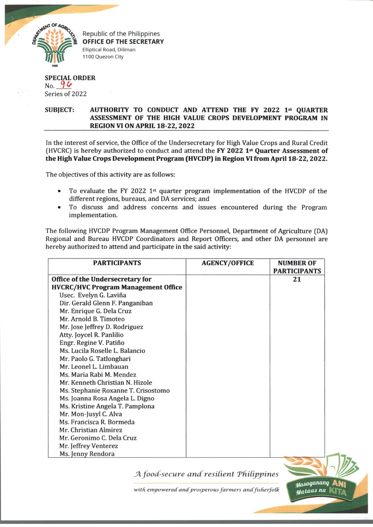

**OFFICE OF THE SECRETARY** Elliptical Road, Diliman 1100 Quezon City

## **SPECIAL ORDER**  $No. 96$

Series of 2022

## SUBJECT: AUTHORITY TO CONDUCT AND ATTEND THE FY 2022 1st QUARTER **ASSESSMENT OF THE HIGH VALUE CROPS DEVELOPMENT PROGRAM IN REGION VI ON APRIL 18-22, 2022**

In the interest of service, the Office of the Undersecretary for High Value Crops and Rural Credit (HVCRC) is hereby authorized to conduct and attend the **FY 2022 1st Quarter Assessment of the High Value Crops Development Program (HVCDP) in Region VI from April 18-22,2022.**

The objectives of this activity are as follows:

- To evaluate the FY 2022 1<sup>st</sup> quarter program implementation of the HVCDP of the different regions, bureaus, and DA services; and
- To discuss and address concerns and issues encountered during the Program implementation.

The following HVCDP Program Management Office Personnel, Department of Agriculture (DA) Regional and Bureau HVCDP Coordinators and Report Officers, and other DA personnel are hereby authorized to attend and participate in the said activity:

| <b>PARTICIPANTS</b>                        | <b>AGENCY/OFFICE</b> | <b>NUMBER OF</b><br><b>PARTICIPANTS</b> |
|--------------------------------------------|----------------------|-----------------------------------------|
| Office of the Undersecretary for           |                      | 21                                      |
| <b>HVCRC/HVC Program Management Office</b> |                      |                                         |
| Usec. Evelyn G. Laviña                     |                      |                                         |
| Dir. Gerald Glenn F. Panganiban            |                      |                                         |
| Mr. Enrique G. Dela Cruz                   |                      |                                         |
| Mr. Arnold B. Timoteo                      |                      |                                         |
| Mr. Jose Jeffrey D. Rodriguez              |                      |                                         |
| Atty. Joycel R. Panlilio                   |                      |                                         |
| Engr. Regine V. Patiño                     |                      |                                         |
| Ms. Lucila Roselle L. Balancio             |                      |                                         |
| Mr. Paolo G. Tatlonghari                   |                      |                                         |
| Mr. Leonel L. Limbauan                     |                      |                                         |
| Ms. Maria Rabi M. Mendez                   |                      |                                         |
| Mr. Kenneth Christian N. Hizole            |                      |                                         |
| Ms. Stephanie Roxanne T. Crisostomo        |                      |                                         |
| Ms. Joanna Rosa Angela L. Digno            |                      |                                         |
| Ms. Kristine Angela T. Pamplona            |                      |                                         |
| Mr. Mon-Jusyl C. Alva                      |                      |                                         |
| Ms. Francisca R. Bormeda                   |                      |                                         |
| Mr. Christian Almirez                      |                      |                                         |
| Mr. Geronimo C. Dela Cruz                  |                      |                                         |
| Mr. Jeffrey Venterez                       |                      |                                         |
| Ms. Jenny Rendora                          |                      |                                         |

**J4.** *food-secure and resident Thidppines*

with empowered and prosperous farmers and fisherfolk

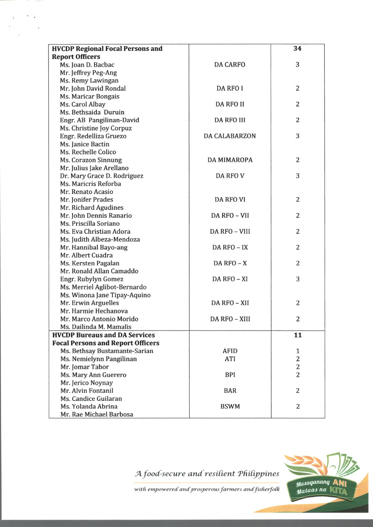| <b>HVCDP Regional Focal Persons and</b>  |                      | 34             |
|------------------------------------------|----------------------|----------------|
| <b>Report Officers</b>                   |                      |                |
| Ms. Joan D. Bacbac                       | <b>DA CARFO</b>      | 3              |
| Mr. Jeffrey Peg-Ang                      |                      |                |
| Ms. Remy Lawingan                        |                      |                |
| Mr. John David Rondal                    | <b>DA RFO I</b>      | $\overline{2}$ |
| Ms. Maricar Bongais                      |                      |                |
| Ms. Carol Albay                          | <b>DA RFO II</b>     | $\overline{2}$ |
| Ms. Bethsaida Duruin                     |                      |                |
| Engr. AB Pangilinan-David                | <b>DA RFO III</b>    | $\overline{2}$ |
| Ms. Christine Joy Corpuz                 |                      |                |
| Engr. Redelliza Gruezo                   | <b>DA CALABARZON</b> | 3              |
| Ms. Janice Bactin                        |                      |                |
| Ms. Rechelle Colico                      |                      |                |
| Ms. Corazon Sinnung                      | <b>DA MIMAROPA</b>   | $\overline{2}$ |
| Mr. Julius Jake Arellano                 |                      |                |
| Dr. Mary Grace D. Rodriguez              | <b>DA RFO V</b>      | 3              |
| Ms. Maricris Reforba                     |                      |                |
| Mr. Renato Acasio                        |                      |                |
| Mr. Jonifer Prades                       | <b>DA RFO VI</b>     | 2              |
| Mr. Richard Agudines                     |                      |                |
| Mr. John Dennis Ranario                  | DA RFO - VII         | $\overline{2}$ |
| Ms. Priscilla Soriano                    |                      |                |
| Ms. Eva Christian Adora                  | DA RFO - VIII        | $\overline{2}$ |
| Ms. Judith Albeza-Mendoza                |                      |                |
| Mr. Hannibal Bayo-ang                    | DA RFO - IX          | 2              |
| Mr. Albert Cuadra                        |                      |                |
| Ms. Kersten Pagalan                      | $DA$ RFO $-X$        | 2              |
| Mr. Ronald Allan Camaddo                 |                      |                |
| Engr. Rubylyn Gomez                      | DA RFO - XI          | 3              |
| Ms. Merriel Aglibot-Bernardo             |                      |                |
| Ms. Winona Jane Tipay-Aquino             |                      |                |
| Mr. Erwin Arguelles                      | DA RFO - XII         | 2              |
| Mr. Harmie Hechanova                     |                      |                |
| Mr. Marco Antonio Morido                 | DA RFO - XIII        | 2              |
| Ms. Dailinda M. Mamalis                  |                      |                |
| <b>HVCDP Bureaus and DA Services</b>     |                      | 11             |
| <b>Focal Persons and Report Officers</b> |                      |                |
| Ms. Bethsay Bustamante-Sarian            | <b>AFID</b>          | $\mathbf{1}$   |
| Ms. Nemielynn Pangilinan                 | ATI                  | 2              |
| Mr. Jomar Tabor                          |                      | 2              |
| Ms. Mary Ann Guerero                     | <b>BPI</b>           | 2              |
| Mr. Jerico Noynay                        |                      |                |
| Mr. Alvin Fontanil                       | <b>BAR</b>           | $\overline{2}$ |
| Ms. Candice Guilaran                     |                      |                |
| Ms. Yolanda Abrina                       | <b>BSWM</b>          | 2              |
| Mr. Rae Michael Barbosa                  |                      |                |

 $\hat{\mathbf{e}}$ 

 $\bar{V}$ 

*fA food-secure and resident Tfulippines*

with empowered and prosperous farmers and fisherfolk